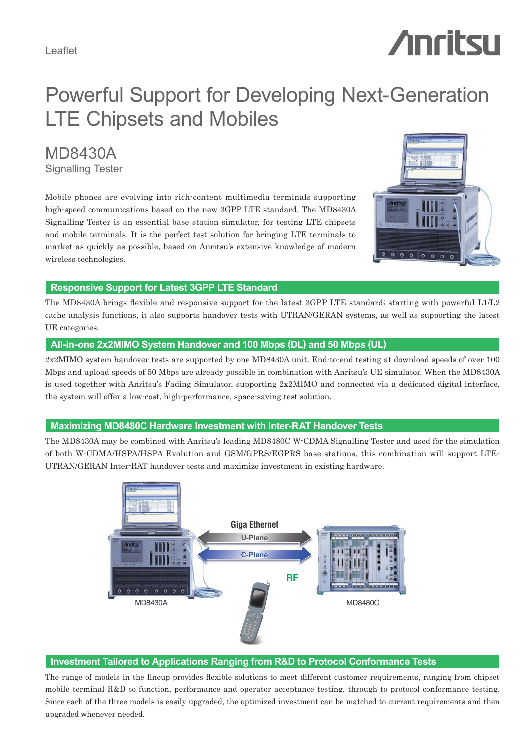# **Anritsu**

# Powerful Support for Developing Next-Generation LTE Chipsets and Mobiles

MD8430A Signalling Tester

Mobile phones are evolving into rich-content multimedia terminals supporting high-speed communications based on the new 3GPP LTE standard. The MD8430A Signalling Tester is an essential base station simulator, for testing LTE chipsets and mobile terminals. It is the perfect test solution for bringing LTE terminals to market as quickly as possible, based on Anritsu's extensive knowledge of modern wireless technologies.



#### **Responsive Support for Latest 3GPP LTE Standard**

The MD8430A brings flexible and responsive support for the latest 3GPP LTE standard; starting with powerful L1/L2 cache analysis functions, it also supports handover tests with UTRAN/GERAN systems, as well as supporting the latest UE categories.

#### **All-in-one 2x2MIMO System Handover and 100 Mbps (DL) and 50 Mbps (UL)**

2x2MIMO system handover tests are supported by one MD8430A unit. End-to-end testing at download speeds of over 100 Mbps and upload speeds of 50 Mbps are already possible in combination with Anritsu's UE simulator. When the MD8430A is used together with Anritsu's Fading Simulator, supporting 2x2MIMO and connected via a dedicated digital interface, the system will offer a low-cost, high-performance, space-saving test solution.

#### **Maximizing MD8480C Hardware Investment with Inter-RAT Handover Tests**

The MD8430A may be combined with Anritsu's leading MD8480C W-CDMA Signalling Tester and used for the simulation of both W-CDMA/HSPA/HSPA Evolution and GSM/GPRS/EGPRS base stations, this combination will support LTE-UTRAN/GERAN Inter-RAT handover tests and maximize investment in existing hardware.



#### **Investment Tailored to Applications Ranging from R&D to Protocol Conformance Tests**

The range of models in the lineup provides flexible solutions to meet different customer requirements, ranging from chipset mobile terminal R&D to function, performance and operator acceptance testing, through to protocol conformance testing. Since each of the three models is easily upgraded, the optimized investment can be matched to current requirements and then upgraded whenever needed.